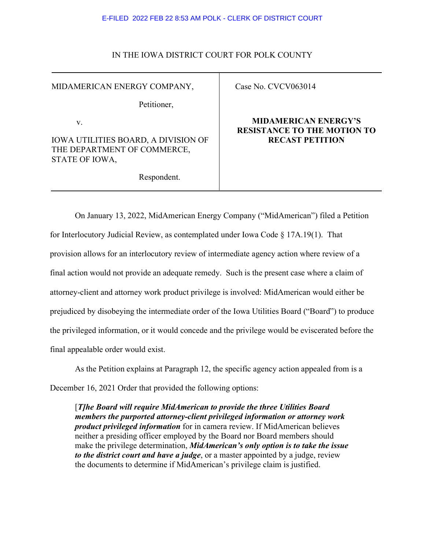#### E-FILED 2022 FEB 22 8:53 AM POLK - CLERK OF DISTRICT COURT

### IN THE IOWA DISTRICT COURT FOR POLK COUNTY

MIDAMERICAN ENERGY COMPANY,

Petitioner,

v.

IOWA UTILITIES BOARD, A DIVISION OF THE DEPARTMENT OF COMMERCE, STATE OF IOWA,

Respondent.

Case No. CVCV063014

## **MIDAMERICAN ENERGY'S RESISTANCE TO THE MOTION TO RECAST PETITION**

On January 13, 2022, MidAmerican Energy Company ("MidAmerican") filed a Petition for Interlocutory Judicial Review, as contemplated under Iowa Code § 17A.19(1). That provision allows for an interlocutory review of intermediate agency action where review of a final action would not provide an adequate remedy. Such is the present case where a claim of attorney-client and attorney work product privilege is involved: MidAmerican would either be prejudiced by disobeying the intermediate order of the Iowa Utilities Board ("Board") to produce the privileged information, or it would concede and the privilege would be eviscerated before the final appealable order would exist.

As the Petition explains at Paragraph 12, the specific agency action appealed from is a December 16, 2021 Order that provided the following options:

[*T]he Board will require MidAmerican to provide the three Utilities Board members the purported attorney-client privileged information or attorney work product privileged information* for in camera review. If MidAmerican believes neither a presiding officer employed by the Board nor Board members should make the privilege determination, *MidAmerican's only option is to take the issue to the district court and have a judge*, or a master appointed by a judge, review the documents to determine if MidAmerican's privilege claim is justified.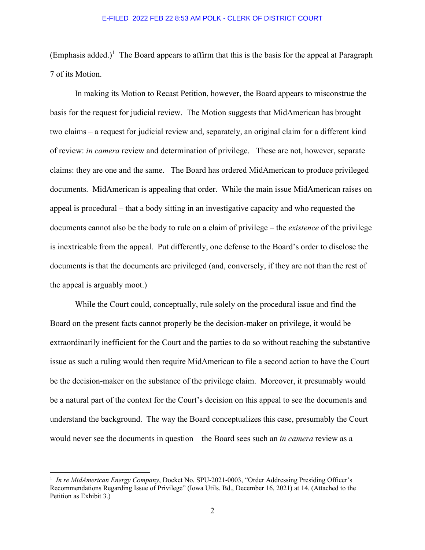#### E-FILED 2022 FEB 22 8:53 AM POLK - CLERK OF DISTRICT COURT

(Emphasis added.)<sup>[1](#page-1-0)</sup> The Board appears to affirm that this is the basis for the appeal at Paragraph 7 of its Motion.

In making its Motion to Recast Petition, however, the Board appears to misconstrue the basis for the request for judicial review. The Motion suggests that MidAmerican has brought two claims – a request for judicial review and, separately, an original claim for a different kind of review: *in camera* review and determination of privilege. These are not, however, separate claims: they are one and the same. The Board has ordered MidAmerican to produce privileged documents. MidAmerican is appealing that order. While the main issue MidAmerican raises on appeal is procedural – that a body sitting in an investigative capacity and who requested the documents cannot also be the body to rule on a claim of privilege – the *existence* of the privilege is inextricable from the appeal. Put differently, one defense to the Board's order to disclose the documents is that the documents are privileged (and, conversely, if they are not than the rest of the appeal is arguably moot.)

While the Court could, conceptually, rule solely on the procedural issue and find the Board on the present facts cannot properly be the decision-maker on privilege, it would be extraordinarily inefficient for the Court and the parties to do so without reaching the substantive issue as such a ruling would then require MidAmerican to file a second action to have the Court be the decision-maker on the substance of the privilege claim. Moreover, it presumably would be a natural part of the context for the Court's decision on this appeal to see the documents and understand the background. The way the Board conceptualizes this case, presumably the Court would never see the documents in question – the Board sees such an *in camera* review as a

<span id="page-1-0"></span><sup>&</sup>lt;sup>1</sup> In re MidAmerican Energy Company, Docket No. SPU-2021-0003, "Order Addressing Presiding Officer's Recommendations Regarding Issue of Privilege" (Iowa Utils. Bd., December 16, 2021) at 14. (Attached to the Petition as Exhibit 3.)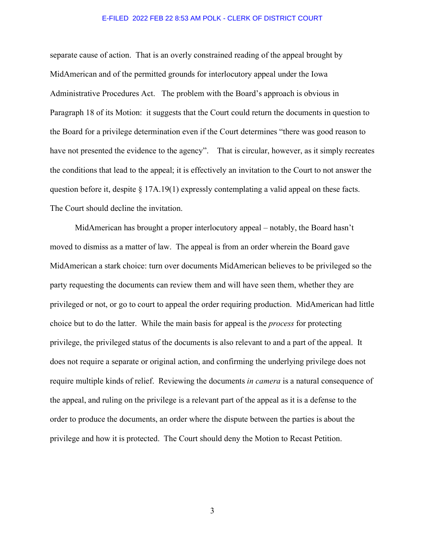#### E-FILED 2022 FEB 22 8:53 AM POLK - CLERK OF DISTRICT COURT

separate cause of action. That is an overly constrained reading of the appeal brought by MidAmerican and of the permitted grounds for interlocutory appeal under the Iowa Administrative Procedures Act. The problem with the Board's approach is obvious in Paragraph 18 of its Motion: it suggests that the Court could return the documents in question to the Board for a privilege determination even if the Court determines "there was good reason to have not presented the evidence to the agency". That is circular, however, as it simply recreates the conditions that lead to the appeal; it is effectively an invitation to the Court to not answer the question before it, despite  $\S 17A.19(1)$  expressly contemplating a valid appeal on these facts. The Court should decline the invitation.

MidAmerican has brought a proper interlocutory appeal – notably, the Board hasn't moved to dismiss as a matter of law. The appeal is from an order wherein the Board gave MidAmerican a stark choice: turn over documents MidAmerican believes to be privileged so the party requesting the documents can review them and will have seen them, whether they are privileged or not, or go to court to appeal the order requiring production. MidAmerican had little choice but to do the latter. While the main basis for appeal is the *process* for protecting privilege, the privileged status of the documents is also relevant to and a part of the appeal. It does not require a separate or original action, and confirming the underlying privilege does not require multiple kinds of relief. Reviewing the documents *in camera* is a natural consequence of the appeal, and ruling on the privilege is a relevant part of the appeal as it is a defense to the order to produce the documents, an order where the dispute between the parties is about the privilege and how it is protected. The Court should deny the Motion to Recast Petition.

3